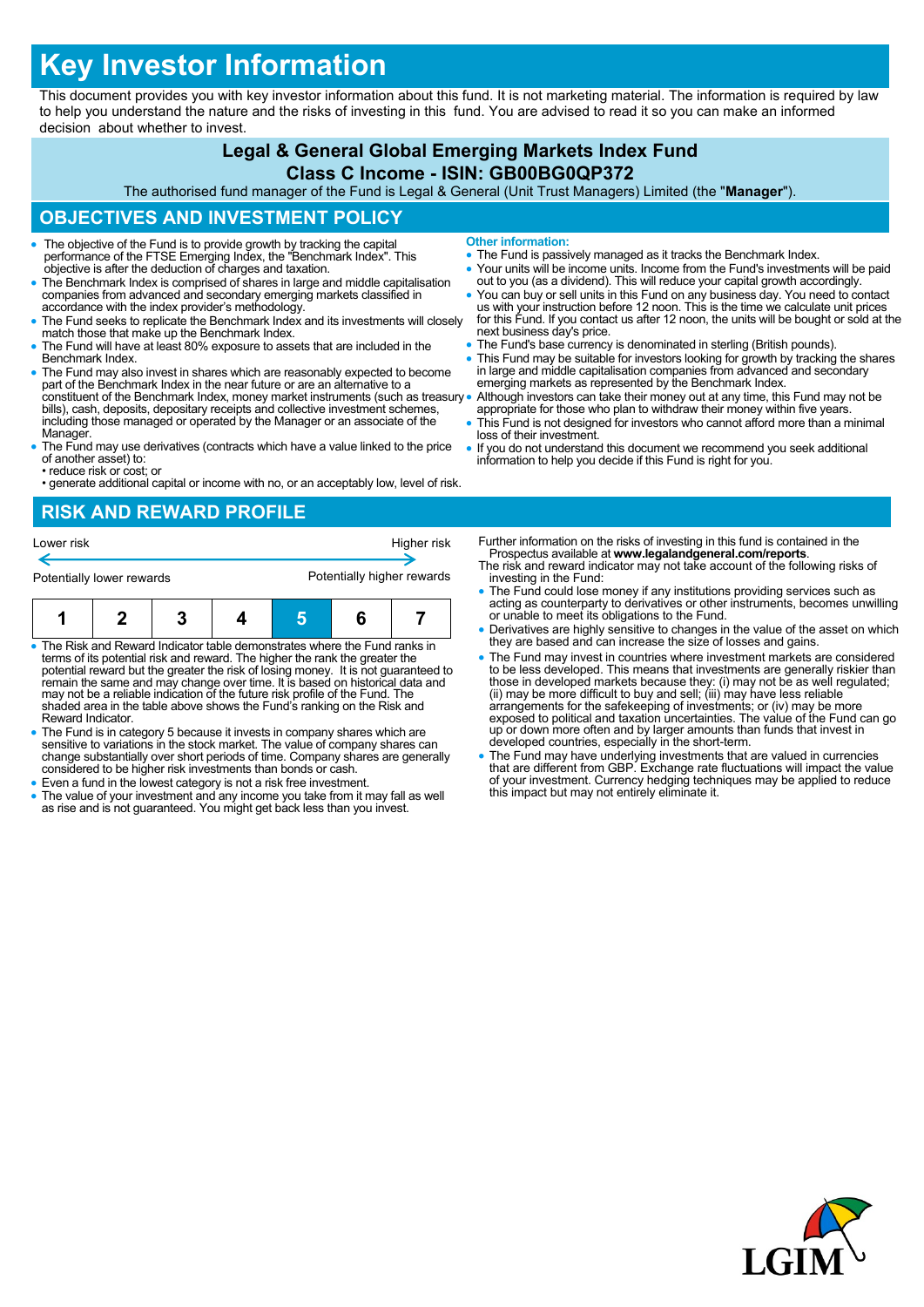# **Key Investor Information**

This document provides you with key investor information about this fund. It is not marketing material. The information is required by law to help you understand the nature and the risks of investing in this fund. You are advised to read it so you can make an informed decision about whether to invest.

#### **Legal & General Global Emerging Markets Index Fund**

#### **Class C Income - ISIN: GB00BG0QP372**

The authorised fund manager of the Fund is Legal & General (Unit Trust Managers) Limited (the "**Manager**").

#### **OBJECTIVES AND INVESTMENT POLICY**

- The objective of the Fund is to provide growth by tracking the capital performance of the FTSE Emerging Index, the "Benchmark Index". This objective is after the deduction of charges and taxation.
- The Benchmark Index is comprised of shares in large and middle capitalisation companies from advanced and secondary emerging markets classified in accordance with the index provider's methodology.
- The Fund seeks to replicate the Benchmark Index and its investments will closely match those that make up the Benchmark Index.
- The Fund will have at least 80% exposure to assets that are included in the Benchmark Index.
- The Fund may also invest in shares which are reasonably expected to become part of the Benchmark Index in the near future or are an alternative to a constituent of the Benchmark Index, money market instruments (such as treasury bills), cash, deposits, depositary receipts and collective investment schemes, including those managed or operated by the Manager or an associate of the Manager.
- The Fund may use derivatives (contracts which have a value linked to the price of another asset) to:
- reduce risk or cost; or • generate additional capital or income with no, or an acceptably low, level of risk.

## **RISK AND REWARD PROFILE**



- The Risk and Reward Indicator table demonstrates where the Fund ranks in terms of its potential risk and reward. The higher the rank the greater the potential reward but the greater the risk of losing money. It is not guaranteed to remain the same and may change over time. It is based on historical data and may not be a reliable indication of the future risk profile of the Fund. The shaded area in the table above shows the Fund's ranking on the Risk and Reward Indicator.
- The Fund is in category 5 because it invests in company shares which are sensitive to variations in the stock market. The value of company shares can change substantially over short periods of time. Company shares are generally considered to be higher risk investments than bonds or cash.
- Even a fund in the lowest category is not a risk free investment.
- The value of your investment and any income you take from it may fall as well as rise and is not guaranteed. You might get back less than you invest.
- **Other information:**
- The Fund is passively managed as it tracks the Benchmark Index.
- Your units will be income units. Income from the Fund's investments will be paid out to you (as a dividend). This will reduce your capital growth accordingly.
- You can buy or sell units in this Fund on any business day. You need to contact<br>us with your instruction before 12 noon. This is the time we calculate unit prices<br>for this Fund. If you contact us after 12 noon, the units next business day's price.
- The Fund's base currency is denominated in sterling (British pounds).
- This Fund may be suitable for investors looking for growth by tracking the shares in large and middle capitalisation companies from advanced and secondary emerging markets as represented by the Benchmark Index.
- Although investors can take their money out at any time, this Fund may not be appropriate for those who plan to withdraw their money within five years.
	- This Fund is not designed for investors who cannot afford more than a minimal loss of their investment.
- If you do not understand this document we recommend you seek additional information to help you decide if this Fund is right for you.

Further information on the risks of investing in this fund is contained in the Prospectus available at **www.legalandgeneral.com/reports**.

- The risk and reward indicator may not take account of the following risks of investing in the Fund:
- The Fund could lose money if any institutions providing services such as acting as counterparty to derivatives or other instruments, becomes unwilling or unable to meet its obligations to the Fund.
- Derivatives are highly sensitive to changes in the value of the asset on which they are based and can increase the size of losses and gains.
- The Fund may invest in countries where investment markets are considered to be less developed. This means that investments are generally riskier than<br>those in developed markets because they: (i) may not be as well regulated;<br>(ii) may be more difficult to buy and sell; (iii) may have less reliab exposed to political and taxation uncertainties. The value of the Fund can go up or down more often and by larger amounts than funds that invest in developed countries, especially in the short-term.
- The Fund may have underlying investments that are valued in currencies that are different from GBP. Exchange rate fluctuations will impact the value of your investment. Currency hedging techniques may be applied to reduce this impact but may not entirely eliminate it.